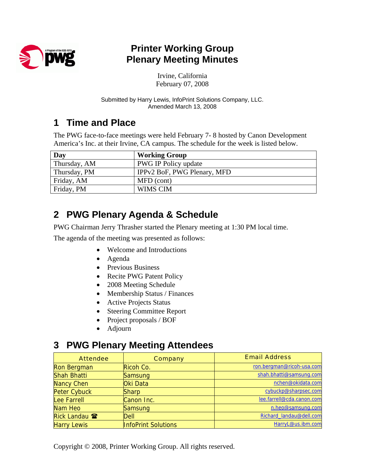

## **Printer Working Group Plenary Meeting Minutes**

Irvine, California February 07, 2008

Submitted by Harry Lewis, InfoPrint Solutions Company, LLC. Amended March 13, 2008

## **1 Time and Place**

The PWG face-to-face meetings were held February 7- 8 hosted by Canon Development America's Inc. at their Irvine, CA campus. The schedule for the week is listed below.

| Day          | <b>Working Group</b>        |
|--------------|-----------------------------|
| Thursday, AM | PWG IP Policy update        |
| Thursday, PM | IPPv2 BoF, PWG Plenary, MFD |
| Friday, AM   | MFD (cont)                  |
| Friday, PM   | WIMS CIM                    |

# **2 PWG Plenary Agenda & Schedule**

PWG Chairman Jerry Thrasher started the Plenary meeting at 1:30 PM local time.

The agenda of the meeting was presented as follows:

- Welcome and Introductions
- Agenda
- Previous Business
- Recite PWG Patent Policy
- 2008 Meeting Schedule
- Membership Status / Finances
- Active Projects Status
- Steering Committee Report
- Project proposals / BOF
- Adjourn

### **3 PWG Plenary Meeting Attendees**

| <b>Attendee</b>      | <b>Company</b>             | <b>Email Address</b>      |
|----------------------|----------------------------|---------------------------|
| Ron Bergman          | Ricoh Co.                  | ron.bergman@ricoh-usa.com |
| <b>Shah Bhatti</b>   | Samsung                    | shah.bhatti@samsung.com   |
| <b>Nancy Chen</b>    | Oki Data                   | nchen@okidata.com         |
| <b>Peter Cybuck</b>  | Sharp                      | cybuckp@sharpsec.com      |
| Lee Farrell          | Canon Inc.                 | lee.farrell@cda.canon.com |
| Nam Heo              | Samsung                    | n.heo@samsung.com         |
| Rick Landau <b>雷</b> | Dell                       | Richard landau@dell.com   |
| <b>Harry Lewis</b>   | <b>InfoPrint Solutions</b> | HarryL@us.ibm.com         |

Copyright © 2008, Printer Working Group. All rights reserved.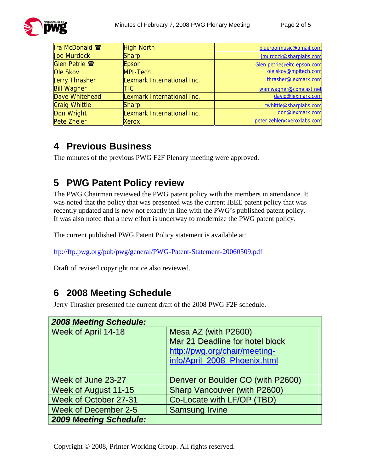

| Ira McDonald 雷        | <b>High North</b>          | blueroofmusic@qmail.com    |
|-----------------------|----------------------------|----------------------------|
| <b>Joe Murdock</b>    | <b>Sharp</b>               | jmurdock@sharplabs.com     |
| <b>Glen Petrie 雷</b>  | Epson                      | Glen.petrie@eitc.epson.com |
| Ole Skov              | MPI-Tech                   | ole.skov@mpitech.com       |
| <b>Jerry Thrasher</b> | Lexmark International Inc. | thrasher@lexmark.com       |
| <b>Bill Wagner</b>    | TIC                        | wamwagner@comcast.net      |
| Dave Whitehead        | Lexmark International Inc. | david@lexmark.com          |
| <b>Craig Whittle</b>  | Sharp                      | cwhittle@sharplabs.com     |
| Don Wright            | Lexmark International Inc. | don@lexmark.com            |
| <b>Pete Zheler</b>    | Xerox                      | peter.zehler@xeroxlabs.com |

## **4 Previous Business**

The minutes of the previous PWG F2F Plenary meeting were approved.

# **5 PWG Patent Policy review**

The PWG Chairman reviewed the PWG patent policy with the members in attendance. It was noted that the policy that was presented was the current IEEE patent policy that was recently updated and is now not exactly in line with the PWG's published patent policy. It was also noted that a new effort is underway to modernize the PWG patent policy.

The current published PWG Patent Policy statement is available at:

<ftp://ftp.pwg.org/pub/pwg/general/PWG-Patent-Statement-20060509.pdf>

Draft of revised copyright notice also reviewed.

## **6 2008 Meeting Schedule**

Jerry Thrasher presented the current draft of the 2008 PWG F2F schedule.

| <b>2008 Meeting Schedule:</b> |                                     |
|-------------------------------|-------------------------------------|
| Week of April 14-18           | Mesa AZ (with P2600)                |
|                               | Mar 21 Deadline for hotel block     |
|                               | http://pwg.org/chair/meeting-       |
|                               | info/April_2008_Phoenix.html        |
|                               |                                     |
| Week of June 23-27            | Denver or Boulder CO (with P2600)   |
| Week of August 11-15          | <b>Sharp Vancouver (with P2600)</b> |
| Week of October 27-31         | Co-Locate with LF/OP (TBD)          |
| <b>Week of December 2-5</b>   | <b>Samsung Irvine</b>               |
| <b>2009 Meeting Schedule:</b> |                                     |

Copyright © 2008, Printer Working Group. All rights reserved.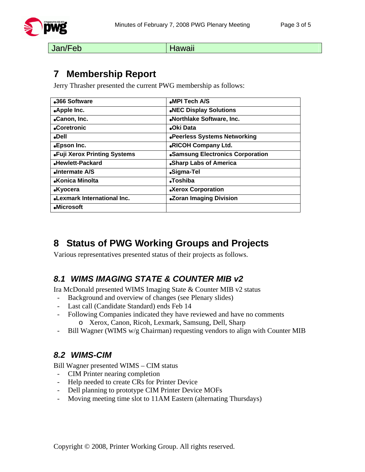

Jan/Feb Hawaii

## **7 Membership Report**

Jerry Thrasher presented the current PWG membership as follows:

| •366 Software                      | MPI Tech A/S                     |
|------------------------------------|----------------------------------|
| .Apple Inc.                        | .NEC Display Solutions           |
| •Canon, Inc.                       | .Northlake Software, Inc.        |
| •Coretronic                        | <b>.Oki Data</b>                 |
| <b>Dell</b>                        | •Peerless Systems Networking     |
| •Epson Inc.                        | .RICOH Company Ltd.              |
| •Fuji Xerox Printing Systems       | •Samsung Electronics Corporation |
| Hewlett-Packard                    | •Sharp Labs of America           |
| Intermate A/S                      | •Sigma-Tel                       |
| •Konica Minolta                    | •Toshiba                         |
| <b>.Kyocera</b>                    | •Xerox Corporation               |
| <b>.Lexmark International Inc.</b> | <b>.Zoran Imaging Division</b>   |
| •Microsoft                         |                                  |

# **8 Status of PWG Working Groups and Projects**

Various representatives presented status of their projects as follows.

### *8.1 WIMS IMAGING STATE & COUNTER MIB v2*

Ira McDonald presented WIMS Imaging State & Counter MIB v2 status

- Background and overview of changes (see Plenary slides)
- Last call (Candidate Standard) ends Feb 14
- Following Companies indicated they have reviewed and have no comments o Xerox, Canon, Ricoh, Lexmark, Samsung, Dell, Sharp
- Bill Wagner (WIMS w/g Chairman) requesting vendors to align with Counter MIB

### *8.2 WIMS-CIM*

Bill Wagner presented WIMS – CIM status

- CIM Printer nearing completion
- Help needed to create CRs for Printer Device
- Dell planning to prototype CIM Printer Device MOFs
- Moving meeting time slot to 11AM Eastern (alternating Thursdays)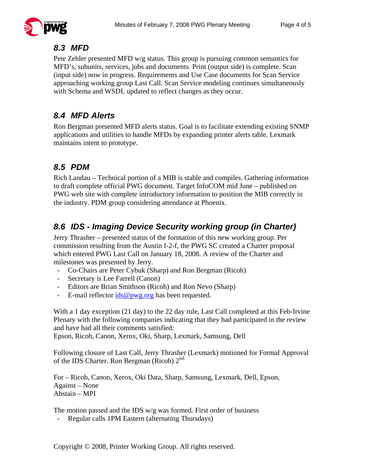

#### *8.3 MFD*

Pete Zehler presented MFD w/g status. This group is pursuing common semantics for MFD's, subunits, services, jobs and documents. Print (output side) is complete. Scan (input side) now in progress. Requirements and Use Case documents for Scan Service approaching working group Last Call. Scan Service modeling continues simultaneously with Schema and WSDL updated to reflect changes as they occur.

### *8.4 MFD Alerts*

Ron Bergman presented MFD alerts status. Goal is to facilitate extending existing SNMP applications and utilities to handle MFDs by expanding printer alerts table. Lexmark maintains intent to prototype.

### *8.5 PDM*

Rich Landau – Technical portion of a MIB is stable and compiles. Gathering information to draft complete official PWG document. Target InfoCOM mid June – published on PWG web site with complete introductory information to position the MIB correctly in the industry. PDM group considering attendance at Phoenix.

### *8.6 IDS - Imaging Device Security working group (in Charter)*

Jerry Thrasher – presented status of the formation of this new working group. Per commission resulting from the Austin f-2-f, the PWG SC created a Charter proposal which entered PWG Last Call on January 18, 2008. A review of the Charter and milestones was presented by Jerry.

- Co-Chairs are Peter Cybuk (Sharp) and Ron Bergman (Ricoh)
- Secretary is Lee Farrell (Canon)
- Editors are Brian Smithson (Ricoh) and Ron Nevo (Sharp)
- E-mail reflector  $ids@pwg.org$  has been requested.

With a 1 day exception (21 day) to the 22 day rule, Last Call completed at this Feb-Irvine Plenary with the following companies indicating that they had participated in the review and have had all their comments satisfied:

Epson, Ricoh, Canon, Xerox, Oki, Sharp, Lexmark, Samsung, Dell

Following closure of Last Call, Jerry Thrasher (Lexmark) motioned for Formal Approval of the IDS Charter. Ron Bergman (Ricoh)  $2^{nd}$ .

For – Ricoh, Canon, Xerox, Oki Data, Sharp, Samsung, Lexmark, Dell, Epson, Against – None Abstain – MPI

The motion passed and the IDS w/g was formed. First order of business

Regular calls 1PM Eastern (alternating Thursdays)